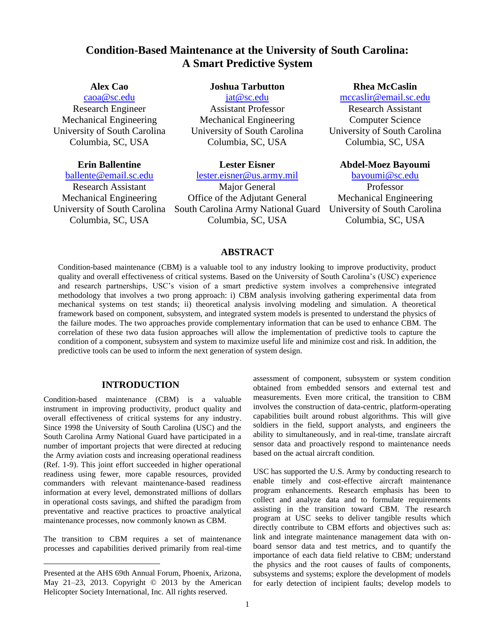# **Condition-Based Maintenance at the University of South Carolina: A Smart Predictive System**

## **Alex Cao**

[caoa@sc.edu](mailto:caoa@sc.edu) Research Engineer Mechanical Engineering University of South Carolina Columbia, SC, USA

### **Erin Ballentine**

[ballente@email.sc.edu](mailto:ballente@email.sc.edu)

Research Assistant Mechanical Engineering Columbia, SC, USA

### **Joshua Tarbutton**

[jat@sc.edu](mailto:email@emailaddress.com)

Assistant Professor Mechanical Engineering University of South Carolina Columbia, SC, USA

**Lester Eisner**

University of South Carolina South Carolina Army National Guard University of South Carolina [lester.eisner@us.army.mil](mailto:lester.eisner@us.army.mil) Major General Office of the Adjutant General Columbia, SC, USA

### **Rhea McCaslin**

[mccaslir@email.sc.edu](mailto:mccaslir@email.sc.edu)

Research Assistant Computer Science University of South Carolina Columbia, SC, USA

### **Abdel-Moez Bayoumi**

[bayoumi@sc.edu](mailto:bayoumi@sc.edu)

Professor Mechanical Engineering Columbia, SC, USA

### **ABSTRACT**

Condition-based maintenance (CBM) is a valuable tool to any industry looking to improve productivity, product quality and overall effectiveness of critical systems. Based on the University of South Carolina's (USC) experience and research partnerships, USC's vision of a smart predictive system involves a comprehensive integrated methodology that involves a two prong approach: i) CBM analysis involving gathering experimental data from mechanical systems on test stands; ii) theoretical analysis involving modeling and simulation. A theoretical framework based on component, subsystem, and integrated system models is presented to understand the physics of the failure modes. The two approaches provide complementary information that can be used to enhance CBM. The correlation of these two data fusion approaches will allow the implementation of predictive tools to capture the condition of a component, subsystem and system to maximize useful life and minimize cost and risk. In addition, the predictive tools can be used to inform the next generation of system design.

### **INTRODUCTION**

Condition-based maintenance (CBM) is a valuable instrument in improving productivity, product quality and overall effectiveness of critical systems for any industry. Since 1998 the University of South Carolina (USC) and the South Carolina Army National Guard have participated in a number of important projects that were directed at reducing the Army aviation costs and increasing operational readiness (Ref. 1-9). This joint effort succeeded in higher operational readiness using fewer, more capable resources, provided commanders with relevant maintenance-based readiness information at every level, demonstrated millions of dollars in operational costs savings, and shifted the paradigm from preventative and reactive practices to proactive analytical maintenance processes, now commonly known as CBM.

The transition to CBM requires a set of maintenance processes and capabilities derived primarily from real-time

 $\overline{a}$ 

assessment of component, subsystem or system condition obtained from embedded sensors and external test and measurements. Even more critical, the transition to CBM involves the construction of data-centric, platform-operating capabilities built around robust algorithms. This will give soldiers in the field, support analysts, and engineers the ability to simultaneously, and in real-time, translate aircraft sensor data and proactively respond to maintenance needs based on the actual aircraft condition.

USC has supported the U.S. Army by conducting research to enable timely and cost-effective aircraft maintenance program enhancements. Research emphasis has been to collect and analyze data and to formulate requirements assisting in the transition toward CBM. The research program at USC seeks to deliver tangible results which directly contribute to CBM efforts and objectives such as: link and integrate maintenance management data with onboard sensor data and test metrics, and to quantify the importance of each data field relative to CBM; understand the physics and the root causes of faults of components, subsystems and systems; explore the development of models for early detection of incipient faults; develop models to

Presented at the AHS 69th Annual Forum, Phoenix, Arizona, May 21–23, 2013. Copyright  $\odot$  2013 by the American Helicopter Society International, Inc. All rights reserved.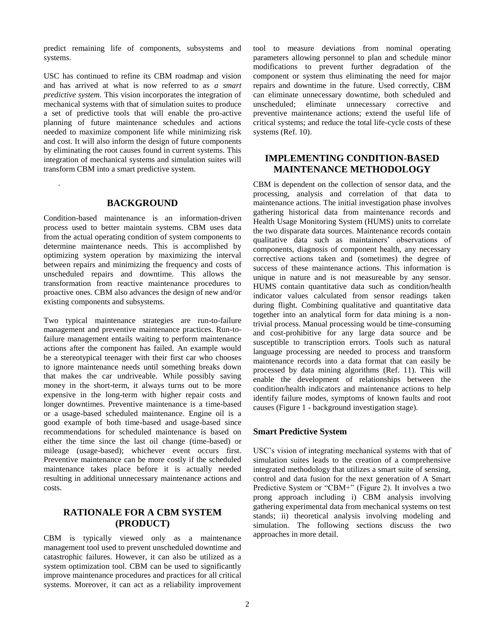predict remaining life of components, subsystems and systems.

USC has continued to refine its CBM roadmap and vision and has arrived at what is now referred to as *a smart predictive system*. This vision incorporates the integration of mechanical systems with that of simulation suites to produce a set of predictive tools that will enable the pro-active planning of future maintenance schedules and actions needed to maximize component life while minimizing risk and cost. It will also inform the design of future components by eliminating the root causes found in current systems. This integration of mechanical systems and simulation suites will transform CBM into a smart predictive system.

### **BACKGROUND**

.

Condition-based maintenance is an information-driven process used to better maintain systems. CBM uses data from the actual operating condition of system components to determine maintenance needs. This is accomplished by optimizing system operation by maximizing the interval between repairs and minimizing the frequency and costs of unscheduled repairs and downtime. This allows the transformation from reactive maintenance procedures to proactive ones. CBM also advances the design of new and/or existing components and subsystems.

Two typical maintenance strategies are run-to-failure management and preventive maintenance practices. Run-tofailure management entails waiting to perform maintenance actions after the component has failed. An example would be a stereotypical teenager with their first car who chooses to ignore maintenance needs until something breaks down that makes the car undriveable. While possibly saving money in the short-term, it always turns out to be more expensive in the long-term with higher repair costs and longer downtimes. Preventive maintenance is a time-based or a usage-based scheduled maintenance. Engine oil is a good example of both time-based and usage-based since recommendations for scheduled maintenance is based on either the time since the last oil change (time-based) or mileage (usage-based); whichever event occurs first. Preventive maintenance can be more costly if the scheduled maintenance takes place before it is actually needed resulting in additional unnecessary maintenance actions and costs.

### **RATIONALE FOR A CBM SYSTEM (PRODUCT)**

CBM is typically viewed only as a maintenance management tool used to prevent unscheduled downtime and catastrophic failures. However, it can also be utilized as a system optimization tool. CBM can be used to significantly improve maintenance procedures and practices for all critical systems. Moreover, it can act as a reliability improvement tool to measure deviations from nominal operating parameters allowing personnel to plan and schedule minor modifications to prevent further degradation of the component or system thus eliminating the need for major repairs and downtime in the future. Used correctly, CBM can eliminate unnecessary downtime, both scheduled and unscheduled; eliminate unnecessary corrective and preventive maintenance actions; extend the useful life of critical systems; and reduce the total life-cycle costs of these systems (Ref. 10).

### **IMPLEMENTING CONDITION-BASED MAINTENANCE METHODOLOGY**

CBM is dependent on the collection of sensor data, and the processing, analysis and correlation of that data to maintenance actions. The initial investigation phase involves gathering historical data from maintenance records and Health Usage Monitoring System (HUMS) units to correlate the two disparate data sources. Maintenance records contain qualitative data such as maintainers' observations of components, diagnosis of component health, any necessary corrective actions taken and (sometimes) the degree of success of these maintenance actions. This information is unique in nature and is not measureable by any sensor. HUMS contain quantitative data such as condition/health indicator values calculated from sensor readings taken during flight. Combining qualitative and quantitative data together into an analytical form for data mining is a nontrivial process. Manual processing would be time-consuming and cost-prohibitive for any large data source and be susceptible to transcription errors. Tools such as natural language processing are needed to process and transform maintenance records into a data format that can easily be processed by data mining algorithms (Ref. 11). This will enable the development of relationships between the condition/health indicators and maintenance actions to help identify failure modes, symptoms of known faults and root causes (Figure 1 - background investigation stage).

#### **Smart Predictive System**

USC's vision of integrating mechanical systems with that of simulation suites leads to the creation of a comprehensive integrated methodology that utilizes a smart suite of sensing, control and data fusion for the next generation of A Smart Predictive System or "CBM+" (Figure 2). It involves a two prong approach including i) CBM analysis involving gathering experimental data from mechanical systems on test stands; ii) theoretical analysis involving modeling and simulation. The following sections discuss the two approaches in more detail.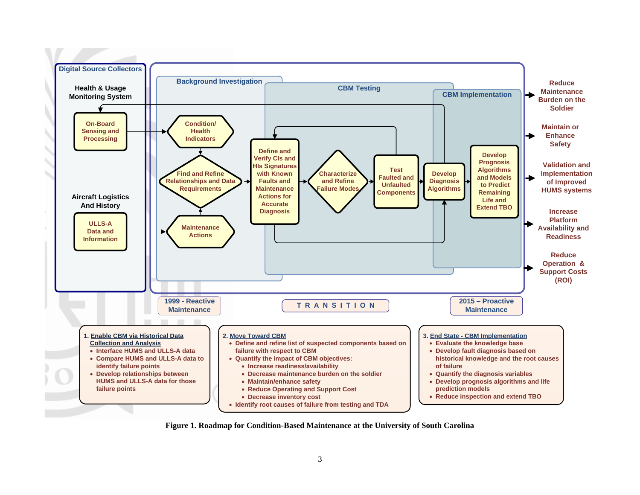

**Figure 1. Roadmap for Condition-Based Maintenance at the University of South Carolina**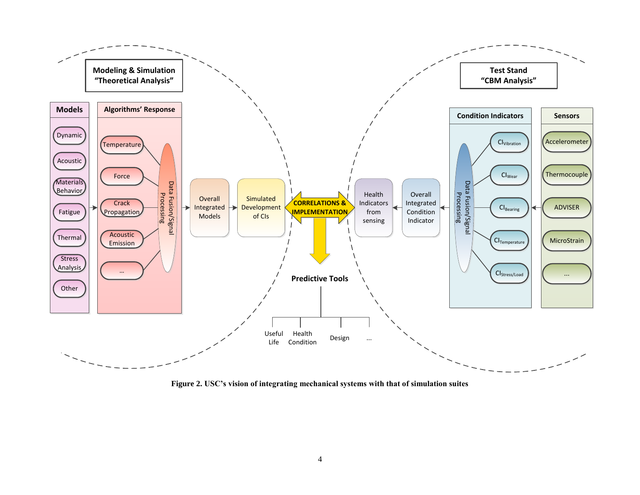

**Figure 2. USC's vision of integrating mechanical systems with that of simulation suites**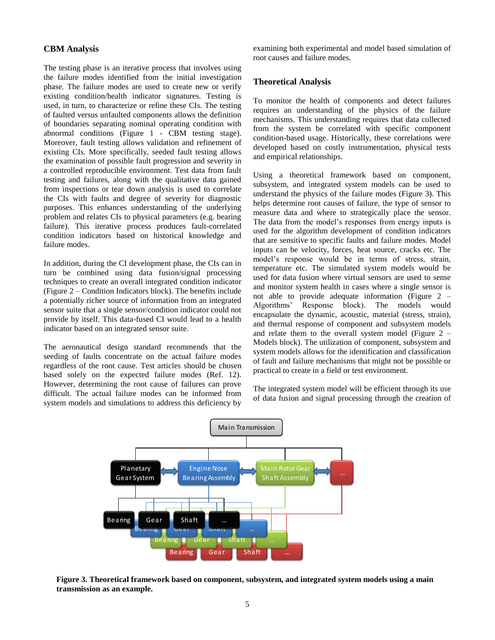### **CBM Analysis**

The testing phase is an iterative process that involves using the failure modes identified from the initial investigation phase. The failure modes are used to create new or verify existing condition/health indicator signatures. Testing is used, in turn, to characterize or refine these CIs. The testing of faulted versus unfaulted components allows the definition of boundaries separating nominal operating condition with abnormal conditions (Figure 1 - CBM testing stage). Moreover, fault testing allows validation and refinement of existing CIs. More specifically, seeded fault testing allows the examination of possible fault progression and severity in a controlled reproducible environment. Test data from fault testing and failures, along with the qualitative data gained from inspections or tear down analysis is used to correlate the CIs with faults and degree of severity for diagnostic purposes. This enhances understanding of the underlying problem and relates CIs to physical parameters (e.g. bearing failure). This iterative process produces fault-correlated condition indicators based on historical knowledge and failure modes.

In addition, during the CI development phase, the CIs can in turn be combined using data fusion/signal processing techniques to create an overall integrated condition indicator (Figure 2 – Condition Indicators block). The benefits include a potentially richer source of information from an integrated sensor suite that a single sensor/condition indicator could not provide by itself. This data-fused CI would lead to a health indicator based on an integrated sensor suite.

The aeronautical design standard recommends that the seeding of faults concentrate on the actual failure modes regardless of the root cause. Test articles should be chosen based solely on the expected failure modes (Ref. 12). However, determining the root cause of failures can prove difficult. The actual failure modes can be informed from system models and simulations to address this deficiency by examining both experimental and model based simulation of root causes and failure modes.

#### **Theoretical Analysis**

To monitor the health of components and detect failures requires an understanding of the physics of the failure mechanisms. This understanding requires that data collected from the system be correlated with specific component condition-based usage. Historically, these correlations were developed based on costly instrumentation, physical tests and empirical relationships.

Using a theoretical framework based on component, subsystem, and integrated system models can be used to understand the physics of the failure modes (Figure 3). This helps determine root causes of failure, the type of sensor to measure data and where to strategically place the sensor. The data from the model's responses from energy inputs is used for the algorithm development of condition indicators that are sensitive to specific faults and failure modes. Model inputs can be velocity, forces, heat source, cracks etc. The model's response would be in terms of stress, strain, temperature etc. The simulated system models would be used for data fusion where virtual sensors are used to sense and monitor system health in cases where a single sensor is not able to provide adequate information (Figure 2 – Algorithms' Response block). The models would encapsulate the dynamic, acoustic, material (stress, strain), and thermal response of component and subsystem models and relate them to the overall system model (Figure 2 – Models block). The utilization of component, subsystem and system models allows for the identification and classification of fault and failure mechanisms that might not be possible or practical to create in a field or test environment.

The integrated system model will be efficient through its use of data fusion and signal processing through the creation of



**Figure 3. Theoretical framework based on component, subsystem, and integrated system models using a main transmission as an example.**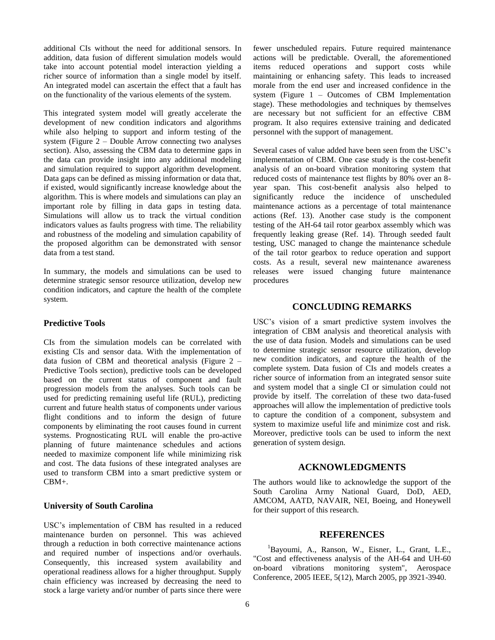additional CIs without the need for additional sensors. In addition, data fusion of different simulation models would take into account potential model interaction yielding a richer source of information than a single model by itself. An integrated model can ascertain the effect that a fault has on the functionality of the various elements of the system.

This integrated system model will greatly accelerate the development of new condition indicators and algorithms while also helping to support and inform testing of the system (Figure 2 – Double Arrow connecting two analyses section). Also, assessing the CBM data to determine gaps in the data can provide insight into any additional modeling and simulation required to support algorithm development. Data gaps can be defined as missing information or data that, if existed, would significantly increase knowledge about the algorithm. This is where models and simulations can play an important role by filling in data gaps in testing data. Simulations will allow us to track the virtual condition indicators values as faults progress with time. The reliability and robustness of the modeling and simulation capability of the proposed algorithm can be demonstrated with sensor data from a test stand.

In summary, the models and simulations can be used to determine strategic sensor resource utilization, develop new condition indicators, and capture the health of the complete system.

#### **Predictive Tools**

CIs from the simulation models can be correlated with existing CIs and sensor data. With the implementation of data fusion of CBM and theoretical analysis (Figure 2 – Predictive Tools section), predictive tools can be developed based on the current status of component and fault progression models from the analyses. Such tools can be used for predicting remaining useful life (RUL), predicting current and future health status of components under various flight conditions and to inform the design of future components by eliminating the root causes found in current systems. Prognosticating RUL will enable the pro-active planning of future maintenance schedules and actions needed to maximize component life while minimizing risk and cost. The data fusions of these integrated analyses are used to transform CBM into a smart predictive system or CBM+.

### **University of South Carolina**

USC's implementation of CBM has resulted in a reduced maintenance burden on personnel. This was achieved through a reduction in both corrective maintenance actions and required number of inspections and/or overhauls. Consequently, this increased system availability and operational readiness allows for a higher throughput. Supply chain efficiency was increased by decreasing the need to stock a large variety and/or number of parts since there were

fewer unscheduled repairs. Future required maintenance actions will be predictable. Overall, the aforementioned items reduced operations and support costs while maintaining or enhancing safety. This leads to increased morale from the end user and increased confidence in the system (Figure 1 – Outcomes of CBM Implementation stage). These methodologies and techniques by themselves are necessary but not sufficient for an effective CBM program. It also requires extensive training and dedicated personnel with the support of management.

Several cases of value added have been seen from the USC's implementation of CBM. One case study is the cost-benefit analysis of an on-board vibration monitoring system that reduced costs of maintenance test flights by 80% over an 8 year span. This cost-benefit analysis also helped to significantly reduce the incidence of unscheduled maintenance actions as a percentage of total maintenance actions (Ref. 13). Another case study is the component testing of the AH-64 tail rotor gearbox assembly which was frequently leaking grease (Ref. 14). Through seeded fault testing, USC managed to change the maintenance schedule of the tail rotor gearbox to reduce operation and support costs. As a result, several new maintenance awareness releases were issued changing future maintenance procedures

### **CONCLUDING REMARKS**

USC's vision of a smart predictive system involves the integration of CBM analysis and theoretical analysis with the use of data fusion. Models and simulations can be used to determine strategic sensor resource utilization, develop new condition indicators, and capture the health of the complete system. Data fusion of CIs and models creates a richer source of information from an integrated sensor suite and system model that a single CI or simulation could not provide by itself. The correlation of these two data-fused approaches will allow the implementation of predictive tools to capture the condition of a component, subsystem and system to maximize useful life and minimize cost and risk. Moreover, predictive tools can be used to inform the next generation of system design.

### **ACKNOWLEDGMENTS**

The authors would like to acknowledge the support of the South Carolina Army National Guard, DoD, AED, AMCOM, AATD, NAVAIR, NEI, Boeing, and Honeywell for their support of this research.

#### **REFERENCES**

<sup>1</sup>Bayoumi, A., Ranson, W., Eisner, L., Grant, L.E., "Cost and effectiveness analysis of the AH-64 and UH-60 on-board vibrations monitoring system", Aerospace Conference, 2005 IEEE, 5(12), March 2005, pp 3921-3940.